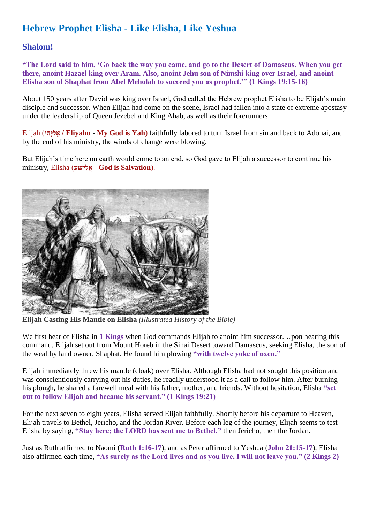# **Hebrew Prophet Elisha - Like Elisha, Like Yeshua**

## **Shalom!**

**"The Lord said to him, 'Go back the way you came, and go to the Desert of Damascus. When you get there, anoint Hazael king over Aram. Also, anoint Jehu son of Nimshi king over Israel, and anoint Elisha son of Shaphat from Abel Meholah to succeed you as prophet.'" (1 Kings 19:15-16)**

About 150 years after David was king over Israel, God called the Hebrew prophet Elisha to be Elijah's main disciple and successor. When Elijah had come on the scene, Israel had fallen into a state of extreme apostasy under the leadership of Queen Jezebel and King Ahab, as well as their forerunners.

Elijah (**וּהָּי ִל ֱא / Eliyahu - My God is Yah**) faithfully labored to turn Israel from sin and back to Adonai, and by the end of his ministry, the winds of change were blowing.

But Elijah's time here on earth would come to an end, so God gave to Elijah a successor to continue his ministry, Elisha (**ע ָּיש ִל ֱא - God is Salvation**).



**Elijah Casting His Mantle on Elisha** *(Illustrated History of the Bible)*

We first hear of Elisha in 1 **Kings** when God commands Elijah to anoint him successor. Upon hearing this command, Elijah set out from Mount Horeb in the Sinai Desert toward Damascus, seeking Elisha, the son of the wealthy land owner, Shaphat. He found him plowing **"with twelve yoke of oxen."**

Elijah immediately threw his mantle (cloak) over Elisha. Although Elisha had not sought this position and was conscientiously carrying out his duties, he readily understood it as a call to follow him. After burning his plough, he shared a farewell meal with his father, mother, and friends. Without hesitation, Elisha **"set out to follow Elijah and became his servant." (1 Kings 19:21)**

For the next seven to eight years, Elisha served Elijah faithfully. Shortly before his departure to Heaven, Elijah travels to Bethel, Jericho, and the Jordan River. Before each leg of the journey, Elijah seems to test Elisha by saying, **"Stay here; the LORD has sent me to Bethel,"** then Jericho, then the Jordan.

Just as Ruth affirmed to Naomi (**Ruth 1:16-17**), and as Peter affirmed to Yeshua (**John 21:15-17**), Elisha also affirmed each time, **"As surely as the Lord lives and as you live, I will not leave you." (2 Kings 2)**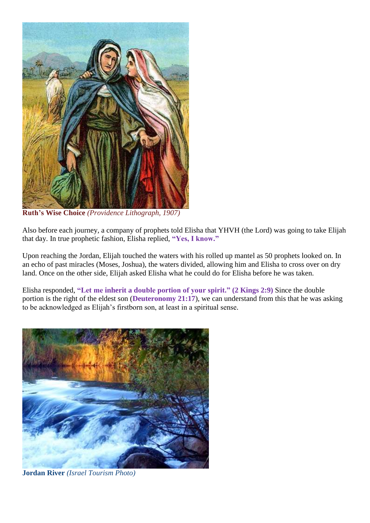

**Ruth's Wise Choice** *(Providence Lithograph, 1907)*

Also before each journey, a company of prophets told Elisha that YHVH (the Lord) was going to take Elijah that day. In true prophetic fashion, Elisha replied, **"Yes, I know."**

Upon reaching the Jordan, Elijah touched the waters with his rolled up mantel as 50 prophets looked on. In an echo of past miracles (Moses, Joshua), the waters divided, allowing him and Elisha to cross over on dry land. Once on the other side, Elijah asked Elisha what he could do for Elisha before he was taken.

Elisha responded, **"Let me inherit a double portion of your spirit." (2 Kings 2:9)** Since the double portion is the right of the eldest son (**Deuteronomy 21:17**), we can understand from this that he was asking to be acknowledged as Elijah's firstborn son, at least in a spiritual sense.



**Jordan River** *(Israel Tourism Photo)*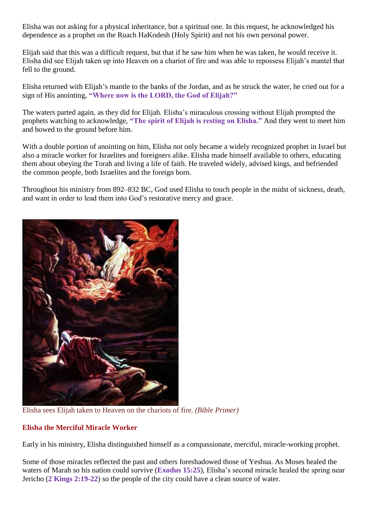Elisha was not asking for a physical inheritance, but a spiritual one. In this request, he acknowledged his dependence as a prophet on the Ruach HaKodesh (Holy Spirit) and not his own personal power.

Elijah said that this was a difficult request, but that if he saw him when he was taken, he would receive it. Elisha did see Elijah taken up into Heaven on a chariot of fire and was able to repossess Elijah's mantel that fell to the ground.

Elisha returned with Elijah's mantle to the banks of the Jordan, and as he struck the water, he cried out for a sign of His anointing, **"Where now is the LORD, the God of Elijah?"**

The waters parted again, as they did for Elijah. Elisha's miraculous crossing without Elijah prompted the prophets watching to acknowledge, **"The spirit of Elijah is resting on Elisha."** And they went to meet him and bowed to the ground before him.

With a double portion of anointing on him, Elisha not only became a widely recognized prophet in Israel but also a miracle worker for Israelites and foreigners alike. Elisha made himself available to others, educating them about obeying the Torah and living a life of faith. He traveled widely, advised kings, and befriended the common people, both Israelites and the foreign born.

Throughout his ministry from 892–832 BC, God used Elisha to touch people in the midst of sickness, death, and want in order to lead them into God's restorative mercy and grace.



Elisha sees Elijah taken to Heaven on the chariots of fire. *(Bible Primer)*

## **Elisha the Merciful Miracle Worker**

Early in his ministry, Elisha distinguished himself as a compassionate, merciful, miracle-working prophet.

Some of those miracles reflected the past and others foreshadowed those of Yeshua. As Moses healed the waters of Marah so his nation could survive (**Exodus 15:25**), Elisha's second miracle healed the spring near Jericho (**2 Kings 2:19-22**) so the people of the city could have a clean source of water.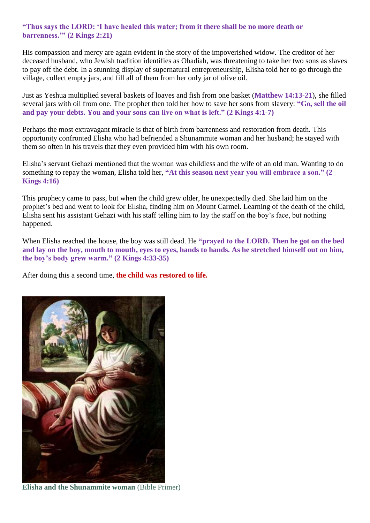### **"Thus says the LORD: 'I have healed this water; from it there shall be no more death or barrenness.'" (2 Kings 2:21)**

His compassion and mercy are again evident in the story of the impoverished widow. The creditor of her deceased husband, who Jewish tradition identifies as Obadiah, was threatening to take her two sons as slaves to pay off the debt. In a stunning display of supernatural entrepreneurship, Elisha told her to go through the village, collect empty jars, and fill all of them from her only jar of olive oil.

Just as Yeshua multiplied several baskets of loaves and fish from one basket (**Matthew 14:13-21**), she filled several jars with oil from one. The prophet then told her how to save her sons from slavery: **"Go, sell the oil and pay your debts. You and your sons can live on what is left." (2 Kings 4:1-7)**

Perhaps the most extravagant miracle is that of birth from barrenness and restoration from death. This opportunity confronted Elisha who had befriended a Shunammite woman and her husband; he stayed with them so often in his travels that they even provided him with his own room.

Elisha's servant Gehazi mentioned that the woman was childless and the wife of an old man. Wanting to do something to repay the woman, Elisha told her, **"At this season next year you will embrace a son." (2 Kings 4:16)**

This prophecy came to pass, but when the child grew older, he unexpectedly died. She laid him on the prophet's bed and went to look for Elisha, finding him on Mount Carmel. Learning of the death of the child, Elisha sent his assistant Gehazi with his staff telling him to lay the staff on the boy's face, but nothing happened.

When Elisha reached the house, the boy was still dead. He **"prayed to the LORD. Then he got on the bed and lay on the boy, mouth to mouth, eyes to eyes, hands to hands. As he stretched himself out on him, the boy's body grew warm." (2 Kings 4:33-35)**

After doing this a second time, **the child was restored to life.**



**Elisha and the Shunammite woman** (Bible Primer)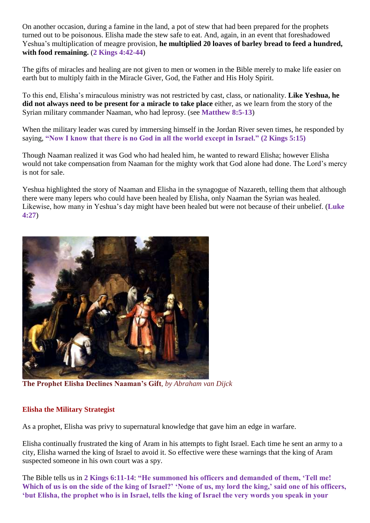On another occasion, during a famine in the land, a pot of stew that had been prepared for the prophets turned out to be poisonous. Elisha made the stew safe to eat. And, again, in an event that foreshadowed Yeshua's multiplication of meagre provision, **he multiplied 20 loaves of barley bread to feed a hundred, with food remaining.** (**2 Kings 4:42-44**)

The gifts of miracles and healing are not given to men or women in the Bible merely to make life easier on earth but to multiply faith in the Miracle Giver, God, the Father and His Holy Spirit.

To this end, Elisha's miraculous ministry was not restricted by cast, class, or nationality. **Like Yeshua, he did not always need to be present for a miracle to take place** either, as we learn from the story of the Syrian military commander Naaman, who had leprosy. (see **Matthew 8:5-13**)

When the military leader was cured by immersing himself in the Jordan River seven times, he responded by saying, **"Now I know that there is no God in all the world except in Israel." (2 Kings 5:15)**

Though Naaman realized it was God who had healed him, he wanted to reward Elisha; however Elisha would not take compensation from Naaman for the mighty work that God alone had done. The Lord's mercy is not for sale.

Yeshua highlighted the story of Naaman and Elisha in the synagogue of Nazareth, telling them that although there were many lepers who could have been healed by Elisha, only Naaman the Syrian was healed. Likewise, how many in Yeshua's day might have been healed but were not because of their unbelief. (**Luke 4:27**)



**The Prophet Elisha Declines Naaman's Gift**, *by Abraham van Dijck*

## **Elisha the Military Strategist**

As a prophet, Elisha was privy to supernatural knowledge that gave him an edge in warfare.

Elisha continually frustrated the king of Aram in his attempts to fight Israel. Each time he sent an army to a city, Elisha warned the king of Israel to avoid it. So effective were these warnings that the king of Aram suspected someone in his own court was a spy.

The Bible tells us in **2 Kings 6:11-14**: **"He summoned his officers and demanded of them, 'Tell me!**  Which of us is on the side of the king of Israel?' 'None of us, my lord the king,' said one of his officers, **'but Elisha, the prophet who is in Israel, tells the king of Israel the very words you speak in your**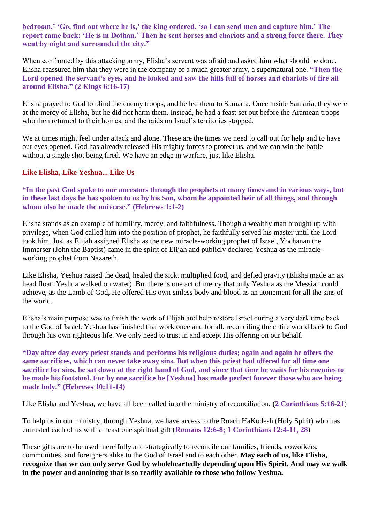**bedroom.' 'Go, find out where he is,' the king ordered, 'so I can send men and capture him.' The report came back: 'He is in Dothan.' Then he sent horses and chariots and a strong force there. They went by night and surrounded the city."**

When confronted by this attacking army, Elisha's servant was afraid and asked him what should be done. Elisha reassured him that they were in the company of a much greater army, a supernatural one. **"Then the Lord opened the servant's eyes, and he looked and saw the hills full of horses and chariots of fire all around Elisha." (2 Kings 6:16-17)**

Elisha prayed to God to blind the enemy troops, and he led them to Samaria. Once inside Samaria, they were at the mercy of Elisha, but he did not harm them. Instead, he had a feast set out before the Aramean troops who then returned to their homes, and the raids on Israel's territories stopped.

We at times might feel under attack and alone. These are the times we need to call out for help and to have our eyes opened. God has already released His mighty forces to protect us, and we can win the battle without a single shot being fired. We have an edge in warfare, just like Elisha.

#### **Like Elisha, Like Yeshua... Like Us**

**"In the past God spoke to our ancestors through the prophets at many times and in various ways, but in these last days he has spoken to us by his Son, whom he appointed heir of all things, and through whom also he made the universe." (Hebrews 1:1-2)**

Elisha stands as an example of humility, mercy, and faithfulness. Though a wealthy man brought up with privilege, when God called him into the position of prophet, he faithfully served his master until the Lord took him. Just as Elijah assigned Elisha as the new miracle-working prophet of Israel, Yochanan the Immerser (John the Baptist) came in the spirit of Elijah and publicly declared Yeshua as the miracleworking prophet from Nazareth.

Like Elisha, Yeshua raised the dead, healed the sick, multiplied food, and defied gravity (Elisha made an ax head float; Yeshua walked on water). But there is one act of mercy that only Yeshua as the Messiah could achieve, as the Lamb of God, He offered His own sinless body and blood as an atonement for all the sins of the world.

Elisha's main purpose was to finish the work of Elijah and help restore Israel during a very dark time back to the God of Israel. Yeshua has finished that work once and for all, reconciling the entire world back to God through his own righteous life. We only need to trust in and accept His offering on our behalf.

**"Day after day every priest stands and performs his religious duties; again and again he offers the same sacrifices, which can never take away sins. But when this priest had offered for all time one sacrifice for sins, he sat down at the right hand of God, and since that time he waits for his enemies to be made his footstool. For by one sacrifice he [Yeshua] has made perfect forever those who are being made holy." (Hebrews 10:11-14)**

Like Elisha and Yeshua, we have all been called into the ministry of reconciliation. (**2 Corinthians 5:16-21**)

To help us in our ministry, through Yeshua, we have access to the Ruach HaKodesh (Holy Spirit) who has entrusted each of us with at least one spiritual gift (**Romans 12:6-8; 1 Corinthians 12:4-11, 28**)

These gifts are to be used mercifully and strategically to reconcile our families, friends, coworkers, communities, and foreigners alike to the God of Israel and to each other. **May each of us, like Elisha, recognize that we can only serve God by wholeheartedly depending upon His Spirit. And may we walk in the power and anointing that is so readily available to those who follow Yeshua.**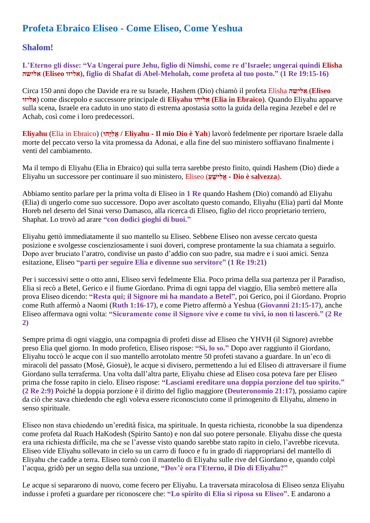# **Profeta Ebraico Eliseo - Come Eliseo, Come Yeshua**

## **Shalom!**

**L'Eterno gli disse: "Va Ungerai pure Jehu, figlio di Nimshi, come re d'Israele; ungerai quindi Elisha אלישה) Eliseo אליזו(, figlio di Shafat di Abel-Meholah, come profeta al tuo posto." (1 Re 19:15-16)**

Circa 150 anni dopo che Davide era re su Israele, Hashem (Dio) chiamò il profeta Elisha **אלישה**) **Eliseo אליזו** (come discepolo e successore principale di **Eliyahu אליהו) Elia in Ebraico**). Quando Eliyahu apparve sulla scena, Israele era caduto in uno stato di estrema apostasia sotto la guida della regina Jezebel e del re Achab, così come i loro predecessori.

**Eliyahu** (Elia in Ebraico) (**וּהָּי ִל ֱא / Eliyahu - Il mio Dio è Yah**) lavorò fedelmente per riportare Israele dalla morte del peccato verso la vita promessa da Adonai, e alla fine del suo ministero soffiavano finalmente i venti del cambiamento.

Ma il tempo di Eliyahu (Elia in Ebraico) qui sulla terra sarebbe presto finito, quindi Hashem (Dio) diede a Eliyahu un successore per continuare il suo ministero, Eliseo (**ע ָּיש ִל ֱא - Dio è salvezza**).

Abbiamo sentito parlare per la prima volta di Eliseo in **1 Re** quando Hashem (Dio) comandò ad Eliyahu (Elia) di ungerlo come suo successore. Dopo aver ascoltato questo comando, Eliyahu (Elia) partì dal Monte Horeb nel deserto del Sinai verso Damasco, alla ricerca di Eliseo, figlio del ricco proprietario terriero, Shaphat. Lo trovò ad arare **"con dodici gioghi di buoi."**

Eliyahu gettò immediatamente il suo mantello su Eliseo. Sebbene Eliseo non avesse cercato questa posizione e svolgesse coscienziosamente i suoi doveri, comprese prontamente la sua chiamata a seguirlo. Dopo aver bruciato l'aratro, condivise un pasto d'addio con suo padre, sua madre e i suoi amici. Senza esitazione, Eliseo **"partì per seguire Elia e divenne suo servitore"** (**1 Re 19:21**)

Per i successivi sette o otto anni, Eliseo servì fedelmente Elia. Poco prima della sua partenza per il Paradiso, Elia si recò a Betel, Gerico e il fiume Giordano. Prima di ogni tappa del viaggio, Elia sembrò mettere alla prova Eliseo dicendo: **"Resta qui; il Signore mi ha mandato a Betel"**, poi Gerico, poi il Giordano. Proprio come Ruth affermò a Naomi (**Ruth 1:16-17**), e come Pietro affermò a Yeshua (**Giovanni 21:15-17**), anche Eliseo affermava ogni volta: **"Sicuramente come il Signore vive e come tu vivi, io non ti lascerò." (2 Re 2)**

Sempre prima di ogni viaggio, una compagnia di profeti disse ad Eliseo che YHVH (il Signore) avrebbe preso Elia quel giorno. In modo profetico, Eliseo rispose: **"Sì, lo so."** Dopo aver raggiunto il Giordano, Eliyahu toccò le acque con il suo mantello arrotolato mentre 50 profeti stavano a guardare. In un'eco di miracoli del passato (Mosè, Giosuè), le acque si divisero, permettendo a lui ed Eliseo di attraversare il fiume Giordano sulla terraferma. Una volta dall'altra parte, Eliyahu chiese ad Eliseo cosa poteva fare per Eliseo prima che fosse rapito in cielo. Eliseo rispose: **"Lasciami ereditare una doppia porzione del tuo spirito." (2 Re 2:9)** Poiché la doppia porzione è il diritto del figlio maggiore (**Deuteronomio 21:17**), possiamo capire da ciò che stava chiedendo che egli voleva essere riconosciuto come il primogenito di Eliyahu, almeno in senso spirituale.

Eliseo non stava chiedendo un'eredità fisica, ma spirituale. In questa richiesta, riconobbe la sua dipendenza come profeta dal Ruach HaKodesh (Spirito Santo) e non dal suo potere personale. Eliyahu disse che questa era una richiesta difficile, ma che se l'avesse visto quando sarebbe stato rapito in cielo, l'avrebbe ricevuta. Eliseo vide Eliyahu sollevato in cielo su un carro di fuoco e fu in grado di riappropriarsi del mantello di Eliyahu che cadde a terra. Eliseo tornò con il mantello di Eliyahu sulle rive del Giordano e, quando colpì l'acqua, gridò per un segno della sua unzione, **"Dov'è ora l'Eterno, il Dio di Eliyahu?"**

Le acque si separarono di nuovo, come fecero per Eliyahu. La traversata miracolosa di Eliseo senza Eliyahu indusse i profeti a guardare per riconoscere che: **"Lo spirito di Elia si riposa su Eliseo".** E andarono a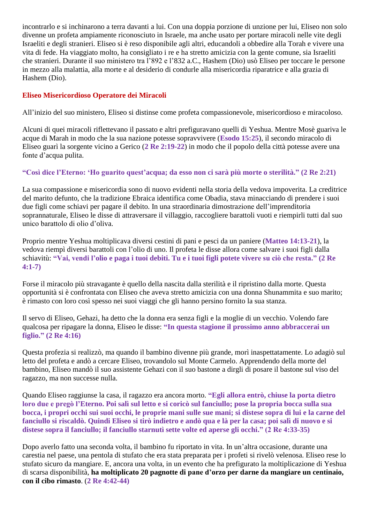incontrarlo e si inchinarono a terra davanti a lui. Con una doppia porzione di unzione per lui, Eliseo non solo divenne un profeta ampiamente riconosciuto in Israele, ma anche usato per portare miracoli nelle vite degli Israeliti e degli stranieri. Eliseo si è reso disponibile agli altri, educandoli a obbedire alla Torah e vivere una vita di fede. Ha viaggiato molto, ha consigliato i re e ha stretto amicizia con la gente comune, sia Israeliti che stranieri. Durante il suo ministero tra l'892 e l'832 a.C., Hashem (Dio) usò Eliseo per toccare le persone in mezzo alla malattia, alla morte e al desiderio di condurle alla misericordia riparatrice e alla grazia di Hashem (Dio).

## **Eliseo Misericordioso Operatore dei Miracoli**

All'inizio del suo ministero, Eliseo si distinse come profeta compassionevole, misericordioso e miracoloso.

Alcuni di quei miracoli riflettevano il passato e altri prefiguravano quelli di Yeshua. Mentre Mosè guariva le acque di Marah in modo che la sua nazione potesse sopravvivere (**Esodo 15:25**), il secondo miracolo di Eliseo guarì la sorgente vicino a Gerico (**2 Re 2:19-22**) in modo che il popolo della città potesse avere una fonte d'acqua pulita.

## **"Così dice l'Eterno: 'Ho guarito quest'acqua; da esso non ci sarà più morte o sterilità." (2 Re 2:21)**

La sua compassione e misericordia sono di nuovo evidenti nella storia della vedova impoverita. La creditrice del marito defunto, che la tradizione Ebraica identifica come Obadia, stava minacciando di prendere i suoi due figli come schiavi per pagare il debito. In una straordinaria dimostrazione dell'imprenditoria soprannaturale, Eliseo le disse di attraversare il villaggio, raccogliere barattoli vuoti e riempirli tutti dal suo unico barattolo di olio d'oliva.

Proprio mentre Yeshua moltiplicava diversi cestini di pani e pesci da un paniere (**Matteo 14:13-21**), la vedova riempì diversi barattoli con l'olio di uno. Il profeta le disse allora come salvare i suoi figli dalla schiavitù: **"Vai, vendi l'olio e paga i tuoi debiti. Tu e i tuoi figli potete vivere su ciò che resta." (2 Re 4:1-7)**

Forse il miracolo più stravagante è quello della nascita dalla sterilità e il ripristino dalla morte. Questa opportunità si è confrontata con Eliseo che aveva stretto amicizia con una donna Shunammita e suo marito; è rimasto con loro così spesso nei suoi viaggi che gli hanno persino fornito la sua stanza.

Il servo di Eliseo, Gehazi, ha detto che la donna era senza figli e la moglie di un vecchio. Volendo fare qualcosa per ripagare la donna, Eliseo le disse: **"In questa stagione il prossimo anno abbraccerai un figlio." (2 Re 4:16)**

Questa profezia si realizzò, ma quando il bambino divenne più grande, morì inaspettatamente. Lo adagiò sul letto del profeta e andò a cercare Eliseo, trovandolo sul Monte Carmelo. Apprendendo della morte del bambino, Eliseo mandò il suo assistente Gehazi con il suo bastone a dirgli di posare il bastone sul viso del ragazzo, ma non successe nulla.

Quando Eliseo raggiunse la casa, il ragazzo era ancora morto. **"Egli allora entrò, chiuse la porta dietro loro due e pregò l'Eterno. Poi salì sul letto e si coricò sul fanciullo; pose la propria bocca sulla sua bocca, i propri occhi sui suoi occhi, le proprie mani sulle sue mani; si distese sopra di lui e la carne del fanciullo si riscaldò. Quindi Eliseo si tirò indietro e andò qua e là per la casa; poi salì di nuovo e si distese sopra il fanciullo; il fanciullo starnutì sette volte ed aperse gli occhi." (2 Re 4:33-35)**

Dopo averlo fatto una seconda volta, il bambino fu riportato in vita. In un'altra occasione, durante una carestia nel paese, una pentola di stufato che era stata preparata per i profeti si rivelò velenosa. Eliseo rese lo stufato sicuro da mangiare. E, ancora una volta, in un evento che ha prefigurato la moltiplicazione di Yeshua di scarsa disponibilità, **ha moltiplicato 20 pagnotte di pane d'orzo per darne da mangiare un centinaio, con il cibo rimasto**. (**2 Re 4:42-44)**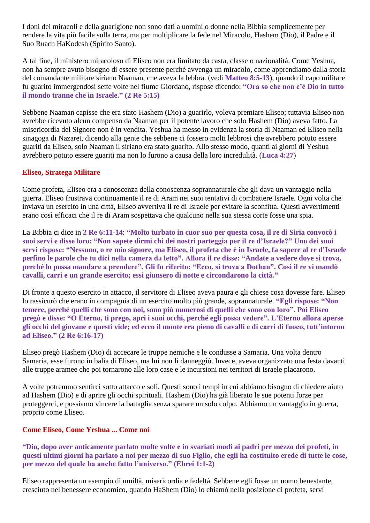I doni dei miracoli e della guarigione non sono dati a uomini o donne nella Bibbia semplicemente per rendere la vita più facile sulla terra, ma per moltiplicare la fede nel Miracolo, Hashem (Dio), il Padre e il Suo Ruach HaKodesh (Spirito Santo).

A tal fine, il ministero miracoloso di Eliseo non era limitato da casta, classe o nazionalità. Come Yeshua, non ha sempre avuto bisogno di essere presente perché avvenga un miracolo, come apprendiamo dalla storia del comandante militare siriano Naaman, che aveva la lebbra. (vedi **Matteo 8:5-13**), quando il capo militare fu guarito immergendosi sette volte nel fiume Giordano, rispose dicendo: **"Ora so che non c'è Dio in tutto il mondo tranne che in Israele." (2 Re 5:15)**

Sebbene Naaman capisse che era stato Hashem (Dio) a guarirlo, voleva premiare Eliseo; tuttavia Eliseo non avrebbe ricevuto alcun compenso da Naaman per il potente lavoro che solo Hashem (Dio) aveva fatto. La misericordia del Signore non è in vendita. Yeshua ha messo in evidenza la storia di Naaman ed Eliseo nella sinagoga di Nazaret, dicendo alla gente che sebbene ci fossero molti lebbrosi che avrebbero potuto essere guariti da Eliseo, solo Naaman il siriano era stato guarito. Allo stesso modo, quanti ai giorni di Yeshua avrebbero potuto essere guariti ma non lo furono a causa della loro incredulità. (**Luca 4:27**)

#### **Eliseo, Stratega Militare**

Come profeta, Eliseo era a conoscenza della conoscenza soprannaturale che gli dava un vantaggio nella guerra. Eliseo frustrava continuamente il re di Aram nei suoi tentativi di combattere Israele. Ogni volta che inviava un esercito in una città, Eliseo avvertiva il re di Israele per evitare la sconfitta. Questi avvertimenti erano così efficaci che il re di Aram sospettava che qualcuno nella sua stessa corte fosse una spia.

La Bibbia ci dice in **2 Re 6:11-14**: **"Molto turbato in cuor suo per questa cosa, il re di Siria convocò i suoi servi e disse loro: "Non sapete dirmi chi dei nostri parteggia per il re d'Israele?" Uno dei suoi servi rispose: "Nessuno, o re mio signore, ma Eliseo, il profeta che è in Israele, fa sapere al re d'Israele perfino le parole che tu dici nella camera da letto". Allora il re disse: "Andate a vedere dove si trova, perché lo possa mandare a prendere". Gli fu riferito: "Ecco, si trova a Dothan". Così il re vi mandò cavalli, carri e un grande esercito; essi giunsero di notte e circondarono la città."**

Di fronte a questo esercito in attacco, il servitore di Eliseo aveva paura e gli chiese cosa dovesse fare. Eliseo lo rassicurò che erano in compagnia di un esercito molto più grande, soprannaturale. **"Egli rispose: "Non temere, perché quelli che sono con noi, sono più numerosi di quelli che sono con loro". Poi Eliseo pregò e disse: "O Eterno, ti prego, apri i suoi occhi, perché egli possa vedere". L'Eterno allora aperse gli occhi del giovane e questi vide; ed ecco il monte era pieno di cavalli e di carri di fuoco, tutt'intorno ad Eliseo." (2 Re 6:16-17)**

Eliseo pregò Hashem (Dio) di accecare le truppe nemiche e le condusse a Samaria. Una volta dentro Samaria, esse furono in balia di Eliseo, ma lui non li danneggiò. Invece, aveva organizzato una festa davanti alle truppe aramee che poi tornarono alle loro case e le incursioni nei territori di Israele placarono.

A volte potremmo sentirci sotto attacco e soli. Questi sono i tempi in cui abbiamo bisogno di chiedere aiuto ad Hashem (Dio) e di aprire gli occhi spirituali. Hashem (Dio) ha già liberato le sue potenti forze per proteggerci, e possiamo vincere la battaglia senza sparare un solo colpo. Abbiamo un vantaggio in guerra, proprio come Eliseo.

## **Come Eliseo, Come Yeshua ... Come noi**

**"Dio, dopo aver anticamente parlato molte volte e in svariati modi ai padri per mezzo dei profeti, in questi ultimi giorni ha parlato a noi per mezzo di suo Figlio, che egli ha costituito erede di tutte le cose, per mezzo del quale ha anche fatto l'universo." (Ebrei 1:1-2)**

Eliseo rappresenta un esempio di umiltà, misericordia e fedeltà. Sebbene egli fosse un uomo benestante, cresciuto nel benessere economico, quando HaShem (Dio) lo chiamò nella posizione di profeta, servì